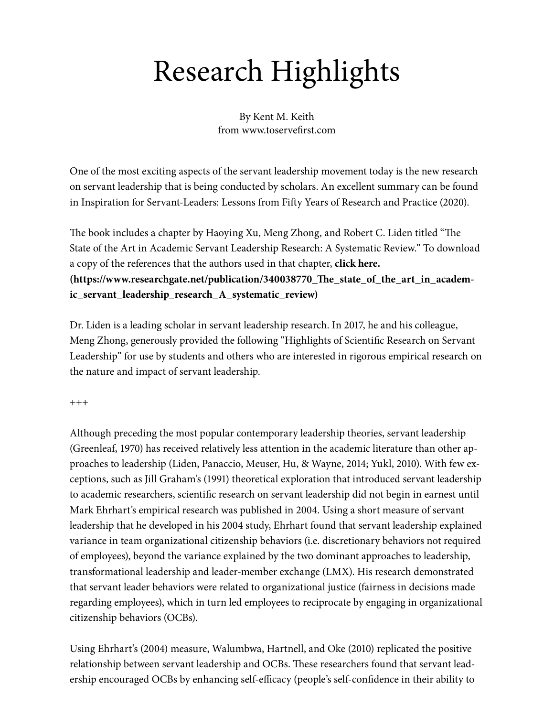## Research Highlights

By Kent M. Keith from www.toservefirst.com

One of the most exciting aspects of the servant leadership movement today is the new research on servant leadership that is being conducted by scholars. An excellent summary can be found in Inspiration for Servant-Leaders: Lessons from Fifty Years of Research and Practice (2020).

The book includes a chapter by Haoying Xu, Meng Zhong, and Robert C. Liden titled "The State of the Art in Academic Servant Leadership Research: A Systematic Review." To download a copy of the references that the authors used in that chapter, **click here. (https://www.researchgate.net/publication/340038770\_The\_state\_of\_the\_art\_in\_academic\_servant\_leadership\_research\_A\_systematic\_review)**

Dr. Liden is a leading scholar in servant leadership research. In 2017, he and his colleague, Meng Zhong, generously provided the following "Highlights of Scientific Research on Servant Leadership" for use by students and others who are interested in rigorous empirical research on the nature and impact of servant leadership.

+++

Although preceding the most popular contemporary leadership theories, servant leadership (Greenleaf, 1970) has received relatively less attention in the academic literature than other approaches to leadership (Liden, Panaccio, Meuser, Hu, & Wayne, 2014; Yukl, 2010). With few exceptions, such as Jill Graham's (1991) theoretical exploration that introduced servant leadership to academic researchers, scientific research on servant leadership did not begin in earnest until Mark Ehrhart's empirical research was published in 2004. Using a short measure of servant leadership that he developed in his 2004 study, Ehrhart found that servant leadership explained variance in team organizational citizenship behaviors (i.e. discretionary behaviors not required of employees), beyond the variance explained by the two dominant approaches to leadership, transformational leadership and leader-member exchange (LMX). His research demonstrated that servant leader behaviors were related to organizational justice (fairness in decisions made regarding employees), which in turn led employees to reciprocate by engaging in organizational citizenship behaviors (OCBs).

Using Ehrhart's (2004) measure, Walumbwa, Hartnell, and Oke (2010) replicated the positive relationship between servant leadership and OCBs. These researchers found that servant leadership encouraged OCBs by enhancing self-efficacy (people's self-confidence in their ability to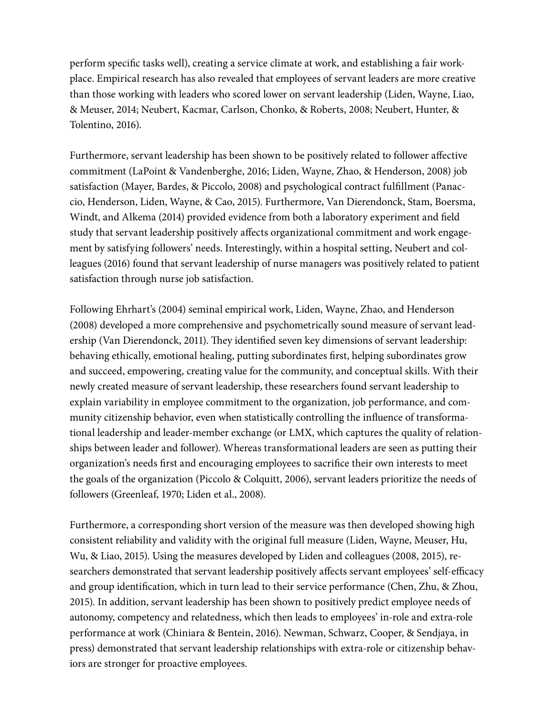perform specific tasks well), creating a service climate at work, and establishing a fair workplace. Empirical research has also revealed that employees of servant leaders are more creative than those working with leaders who scored lower on servant leadership (Liden, Wayne, Liao, & Meuser, 2014; Neubert, Kacmar, Carlson, Chonko, & Roberts, 2008; Neubert, Hunter, & Tolentino, 2016).

Furthermore, servant leadership has been shown to be positively related to follower affective commitment (LaPoint & Vandenberghe, 2016; Liden, Wayne, Zhao, & Henderson, 2008) job satisfaction (Mayer, Bardes, & Piccolo, 2008) and psychological contract fulfillment (Panaccio, Henderson, Liden, Wayne, & Cao, 2015). Furthermore, Van Dierendonck, Stam, Boersma, Windt, and Alkema (2014) provided evidence from both a laboratory experiment and field study that servant leadership positively affects organizational commitment and work engagement by satisfying followers' needs. Interestingly, within a hospital setting, Neubert and colleagues (2016) found that servant leadership of nurse managers was positively related to patient satisfaction through nurse job satisfaction.

Following Ehrhart's (2004) seminal empirical work, Liden, Wayne, Zhao, and Henderson (2008) developed a more comprehensive and psychometrically sound measure of servant leadership (Van Dierendonck, 2011). They identified seven key dimensions of servant leadership: behaving ethically, emotional healing, putting subordinates first, helping subordinates grow and succeed, empowering, creating value for the community, and conceptual skills. With their newly created measure of servant leadership, these researchers found servant leadership to explain variability in employee commitment to the organization, job performance, and community citizenship behavior, even when statistically controlling the influence of transformational leadership and leader-member exchange (or LMX, which captures the quality of relationships between leader and follower). Whereas transformational leaders are seen as putting their organization's needs first and encouraging employees to sacrifice their own interests to meet the goals of the organization (Piccolo & Colquitt, 2006), servant leaders prioritize the needs of followers (Greenleaf, 1970; Liden et al., 2008).

Furthermore, a corresponding short version of the measure was then developed showing high consistent reliability and validity with the original full measure (Liden, Wayne, Meuser, Hu, Wu, & Liao, 2015). Using the measures developed by Liden and colleagues (2008, 2015), researchers demonstrated that servant leadership positively affects servant employees' self-efficacy and group identification, which in turn lead to their service performance (Chen, Zhu, & Zhou, 2015). In addition, servant leadership has been shown to positively predict employee needs of autonomy, competency and relatedness, which then leads to employees' in-role and extra-role performance at work (Chiniara & Bentein, 2016). Newman, Schwarz, Cooper, & Sendjaya, in press) demonstrated that servant leadership relationships with extra-role or citizenship behaviors are stronger for proactive employees.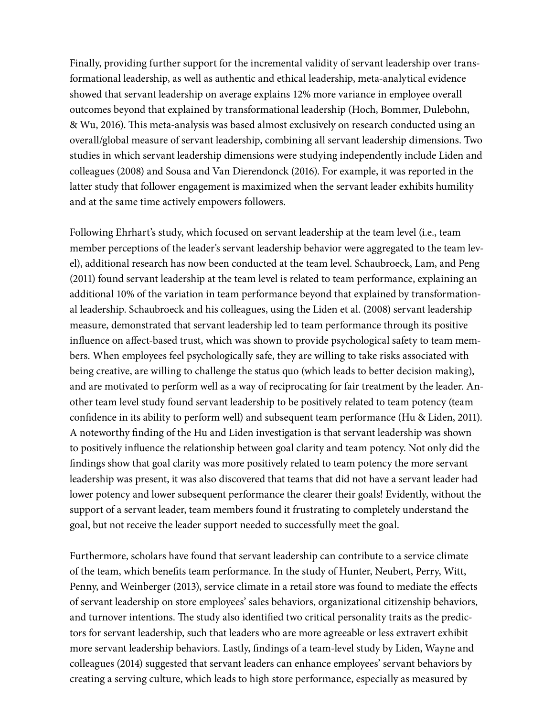Finally, providing further support for the incremental validity of servant leadership over transformational leadership, as well as authentic and ethical leadership, meta-analytical evidence showed that servant leadership on average explains 12% more variance in employee overall outcomes beyond that explained by transformational leadership (Hoch, Bommer, Dulebohn, & Wu, 2016). This meta-analysis was based almost exclusively on research conducted using an overall/global measure of servant leadership, combining all servant leadership dimensions. Two studies in which servant leadership dimensions were studying independently include Liden and colleagues (2008) and Sousa and Van Dierendonck (2016). For example, it was reported in the latter study that follower engagement is maximized when the servant leader exhibits humility and at the same time actively empowers followers.

Following Ehrhart's study, which focused on servant leadership at the team level (i.e., team member perceptions of the leader's servant leadership behavior were aggregated to the team level), additional research has now been conducted at the team level. Schaubroeck, Lam, and Peng (2011) found servant leadership at the team level is related to team performance, explaining an additional 10% of the variation in team performance beyond that explained by transformational leadership. Schaubroeck and his colleagues, using the Liden et al. (2008) servant leadership measure, demonstrated that servant leadership led to team performance through its positive influence on affect-based trust, which was shown to provide psychological safety to team members. When employees feel psychologically safe, they are willing to take risks associated with being creative, are willing to challenge the status quo (which leads to better decision making), and are motivated to perform well as a way of reciprocating for fair treatment by the leader. Another team level study found servant leadership to be positively related to team potency (team confidence in its ability to perform well) and subsequent team performance (Hu & Liden, 2011). A noteworthy finding of the Hu and Liden investigation is that servant leadership was shown to positively influence the relationship between goal clarity and team potency. Not only did the findings show that goal clarity was more positively related to team potency the more servant leadership was present, it was also discovered that teams that did not have a servant leader had lower potency and lower subsequent performance the clearer their goals! Evidently, without the support of a servant leader, team members found it frustrating to completely understand the goal, but not receive the leader support needed to successfully meet the goal.

Furthermore, scholars have found that servant leadership can contribute to a service climate of the team, which benefits team performance. In the study of Hunter, Neubert, Perry, Witt, Penny, and Weinberger (2013), service climate in a retail store was found to mediate the effects of servant leadership on store employees' sales behaviors, organizational citizenship behaviors, and turnover intentions. The study also identified two critical personality traits as the predictors for servant leadership, such that leaders who are more agreeable or less extravert exhibit more servant leadership behaviors. Lastly, findings of a team-level study by Liden, Wayne and colleagues (2014) suggested that servant leaders can enhance employees' servant behaviors by creating a serving culture, which leads to high store performance, especially as measured by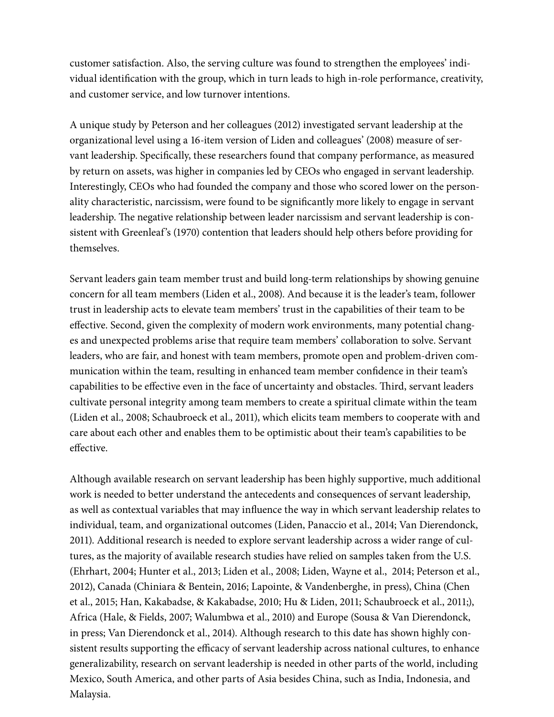customer satisfaction. Also, the serving culture was found to strengthen the employees' individual identification with the group, which in turn leads to high in-role performance, creativity, and customer service, and low turnover intentions.

A unique study by Peterson and her colleagues (2012) investigated servant leadership at the organizational level using a 16-item version of Liden and colleagues' (2008) measure of servant leadership. Specifically, these researchers found that company performance, as measured by return on assets, was higher in companies led by CEOs who engaged in servant leadership. Interestingly, CEOs who had founded the company and those who scored lower on the personality characteristic, narcissism, were found to be significantly more likely to engage in servant leadership. The negative relationship between leader narcissism and servant leadership is consistent with Greenleaf's (1970) contention that leaders should help others before providing for themselves.

Servant leaders gain team member trust and build long-term relationships by showing genuine concern for all team members (Liden et al., 2008). And because it is the leader's team, follower trust in leadership acts to elevate team members' trust in the capabilities of their team to be effective. Second, given the complexity of modern work environments, many potential changes and unexpected problems arise that require team members' collaboration to solve. Servant leaders, who are fair, and honest with team members, promote open and problem-driven communication within the team, resulting in enhanced team member confidence in their team's capabilities to be effective even in the face of uncertainty and obstacles. Third, servant leaders cultivate personal integrity among team members to create a spiritual climate within the team (Liden et al., 2008; Schaubroeck et al., 2011), which elicits team members to cooperate with and care about each other and enables them to be optimistic about their team's capabilities to be effective.

Although available research on servant leadership has been highly supportive, much additional work is needed to better understand the antecedents and consequences of servant leadership, as well as contextual variables that may influence the way in which servant leadership relates to individual, team, and organizational outcomes (Liden, Panaccio et al., 2014; Van Dierendonck, 2011). Additional research is needed to explore servant leadership across a wider range of cultures, as the majority of available research studies have relied on samples taken from the U.S. (Ehrhart, 2004; Hunter et al., 2013; Liden et al., 2008; Liden, Wayne et al., 2014; Peterson et al., 2012), Canada (Chiniara & Bentein, 2016; Lapointe, & Vandenberghe, in press), China (Chen et al., 2015; Han, Kakabadse, & Kakabadse, 2010; Hu & Liden, 2011; Schaubroeck et al., 2011;), Africa (Hale, & Fields, 2007; Walumbwa et al., 2010) and Europe (Sousa & Van Dierendonck, in press; Van Dierendonck et al., 2014). Although research to this date has shown highly consistent results supporting the efficacy of servant leadership across national cultures, to enhance generalizability, research on servant leadership is needed in other parts of the world, including Mexico, South America, and other parts of Asia besides China, such as India, Indonesia, and Malaysia.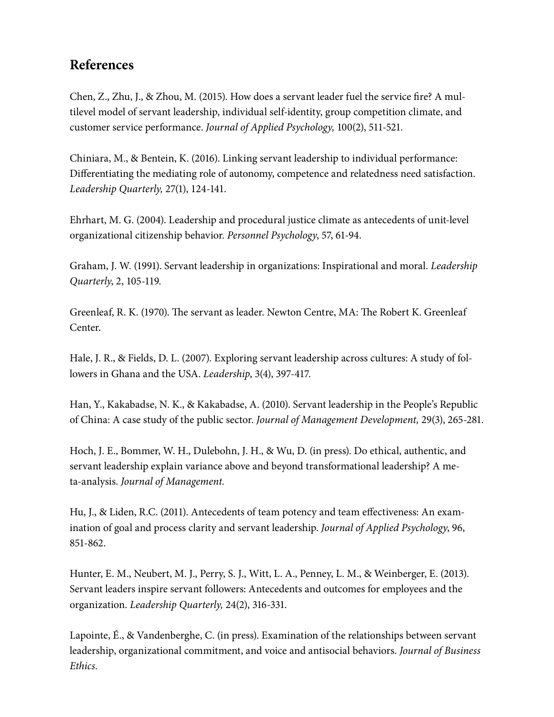## **References**

Chen, Z., Zhu, J., & Zhou, M. (2015). How does a servant leader fuel the service fire? A multilevel model of servant leadership, individual self-identity, group competition climate, and customer service performance. *Journal of Applied Psychology,* 100(2), 511-521.

Chiniara, M., & Bentein, K. (2016). Linking servant leadership to individual performance: Differentiating the mediating role of autonomy, competence and relatedness need satisfaction. *Leadership Quarterly,* 27(1), 124-141.

Ehrhart, M. G. (2004). Leadership and procedural justice climate as antecedents of unit-level organizational citizenship behavior. *Personnel Psychology*, 57, 61-94.

Graham, J. W. (1991). Servant leadership in organizations: Inspirational and moral. *Leadership Quarterly*, 2, 105-119.

Greenleaf, R. K. (1970). The servant as leader. Newton Centre, MA: The Robert K. Greenleaf Center.

Hale, J. R., & Fields, D. L. (2007). Exploring servant leadership across cultures: A study of followers in Ghana and the USA. *Leadership*, 3(4), 397-417.

Han, Y., Kakabadse, N. K., & Kakabadse, A. (2010). Servant leadership in the People's Republic of China: A case study of the public sector. *Journal of Management Development,* 29(3), 265-281.

Hoch, J. E., Bommer, W. H., Dulebohn, J. H., & Wu, D. (in press). Do ethical, authentic, and servant leadership explain variance above and beyond transformational leadership? A meta-analysis. *Journal of Management.*

Hu, J., & Liden, R.C. (2011). Antecedents of team potency and team effectiveness: An examination of goal and process clarity and servant leadership. *Journal of Applied Psychology*, 96, 851-862.

Hunter, E. M., Neubert, M. J., Perry, S. J., Witt, L. A., Penney, L. M., & Weinberger, E. (2013). Servant leaders inspire servant followers: Antecedents and outcomes for employees and the organization. *Leadership Quarterly,* 24(2), 316-331.

Lapointe, É., & Vandenberghe, C. (in press). Examination of the relationships between servant leadership, organizational commitment, and voice and antisocial behaviors. *Journal of Business Ethics.*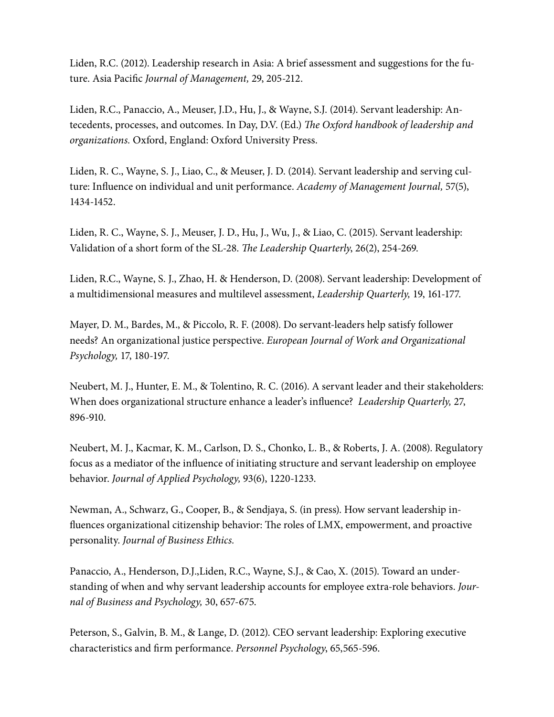Liden, R.C. (2012). Leadership research in Asia: A brief assessment and suggestions for the future. Asia Pacific *Journal of Management,* 29, 205-212.

Liden, R.C., Panaccio, A., Meuser, J.D., Hu, J., & Wayne, S.J. (2014). Servant leadership: Antecedents, processes, and outcomes. In Day, D.V. (Ed.) *The Oxford handbook of leadership and organizations.* Oxford, England: Oxford University Press.

Liden, R. C., Wayne, S. J., Liao, C., & Meuser, J. D. (2014). Servant leadership and serving culture: Influence on individual and unit performance. *Academy of Management Journal,* 57(5), 1434-1452.

Liden, R. C., Wayne, S. J., Meuser, J. D., Hu, J., Wu, J., & Liao, C. (2015). Servant leadership: Validation of a short form of the SL-28. *The Leadership Quarterly*, 26(2), 254-269.

Liden, R.C., Wayne, S. J., Zhao, H. & Henderson, D. (2008). Servant leadership: Development of a multidimensional measures and multilevel assessment, *Leadership Quarterly,* 19, 161-177.

Mayer, D. M., Bardes, M., & Piccolo, R. F. (2008). Do servant-leaders help satisfy follower needs? An organizational justice perspective. *European Journal of Work and Organizational Psychology,* 17, 180-197.

Neubert, M. J., Hunter, E. M., & Tolentino, R. C. (2016). A servant leader and their stakeholders: When does organizational structure enhance a leader's influence? *Leadership Quarterly,* 27, 896-910.

Neubert, M. J., Kacmar, K. M., Carlson, D. S., Chonko, L. B., & Roberts, J. A. (2008). Regulatory focus as a mediator of the influence of initiating structure and servant leadership on employee behavior. *Journal of Applied Psychology,* 93(6), 1220-1233.

Newman, A., Schwarz, G., Cooper, B., & Sendjaya, S. (in press). How servant leadership influences organizational citizenship behavior: The roles of LMX, empowerment, and proactive personality. *Journal of Business Ethics.*

Panaccio, A., Henderson, D.J.,Liden, R.C., Wayne, S.J., & Cao, X. (2015). Toward an understanding of when and why servant leadership accounts for employee extra-role behaviors. *Journal of Business and Psychology,* 30, 657-675.

Peterson, S., Galvin, B. M., & Lange, D. (2012). CEO servant leadership: Exploring executive characteristics and firm performance. *Personnel Psychology*, 65,565-596.